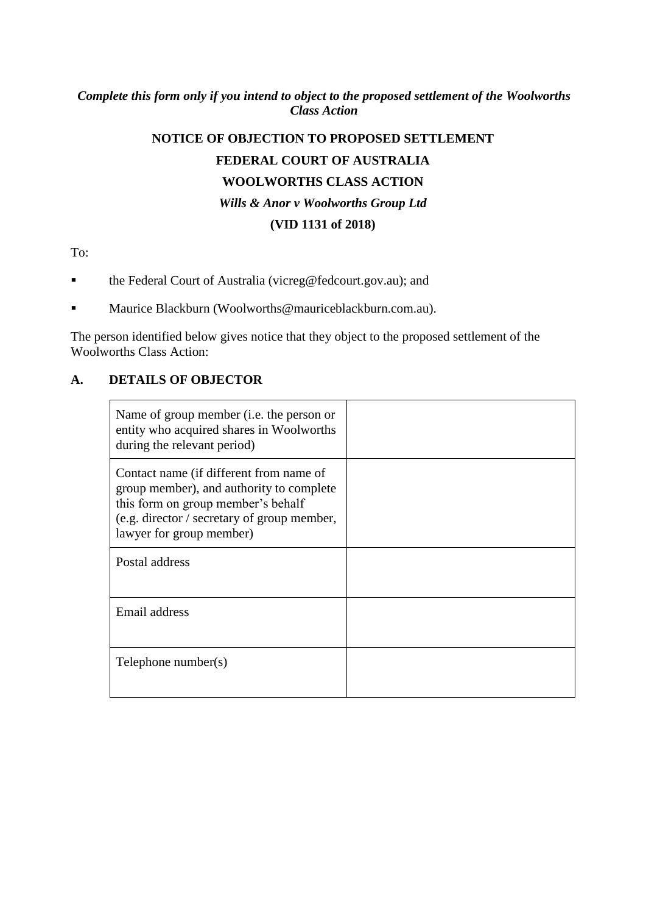# *Complete this form only if you intend to object to the proposed settlement of the Woolworths Class Action*

# **NOTICE OF OBJECTION TO PROPOSED SETTLEMENT FEDERAL COURT OF AUSTRALIA WOOLWORTHS CLASS ACTION** *Wills & Anor v Woolworths Group Ltd* **(VID 1131 of 2018)**

To:

- the Federal Court of Australia (vicreg@fedcourt.gov.au); and
- Maurice Blackburn (Woolworths@mauriceblackburn.com.au).

The person identified below gives notice that they object to the proposed settlement of the Woolworths Class Action:

# **A. DETAILS OF OBJECTOR**

| Name of group member ( <i>i.e.</i> the person or<br>entity who acquired shares in Woolworths<br>during the relevant period)                                                                          |  |
|------------------------------------------------------------------------------------------------------------------------------------------------------------------------------------------------------|--|
| Contact name (if different from name of<br>group member), and authority to complete<br>this form on group member's behalf<br>(e.g. director / secretary of group member,<br>lawyer for group member) |  |
| Postal address                                                                                                                                                                                       |  |
| Email address                                                                                                                                                                                        |  |
| Telephone number $(s)$                                                                                                                                                                               |  |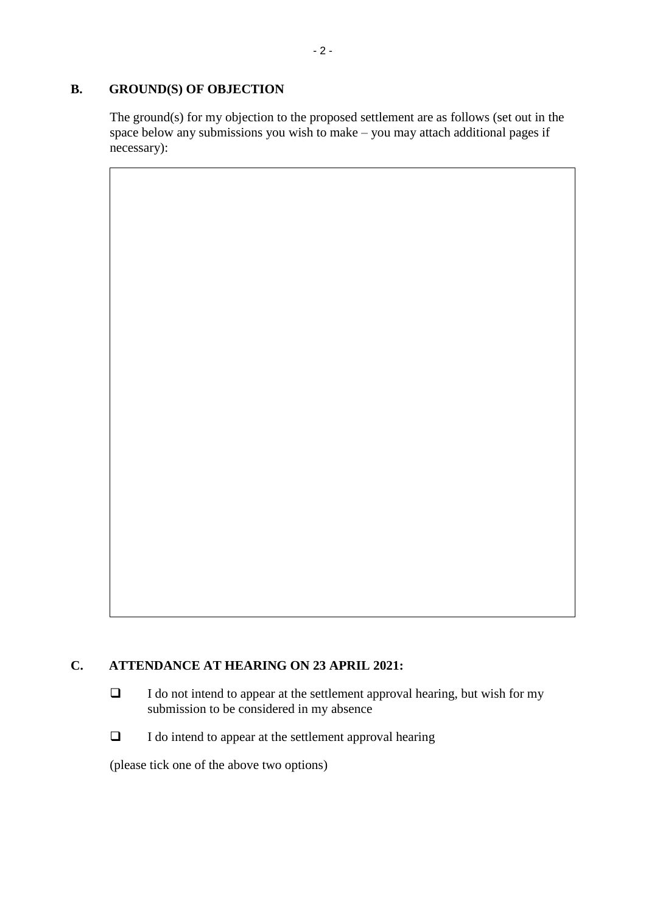#### **B. GROUND(S) OF OBJECTION**

The ground(s) for my objection to the proposed settlement are as follows (set out in the space below any submissions you wish to make – you may attach additional pages if necessary):

# **C. ATTENDANCE AT HEARING ON 23 APRIL 2021:**

- ❑ I do not intend to appear at the settlement approval hearing, but wish for my submission to be considered in my absence
- ❑ I do intend to appear at the settlement approval hearing

(please tick one of the above two options)